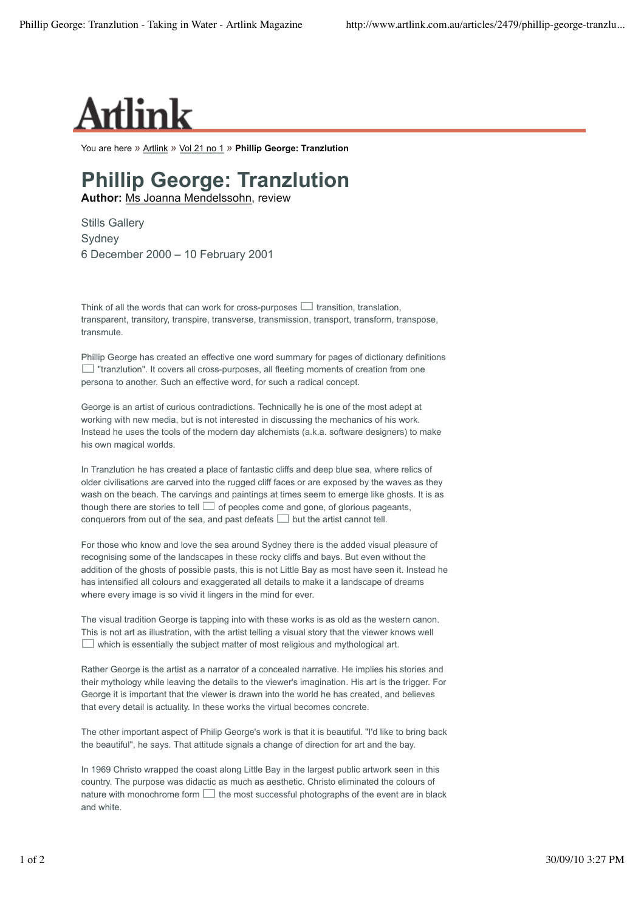

You are here » Artlink » Vol 21 no 1 » **Phillip George: Tranzlution**

## **Phillip George: Tranzlution**

**Author:** Ms Joanna Mendelssohn, review

Stills Gallery **Sydney** 6 December 2000 – 10 February 2001

Think of all the words that can work for cross-purposes  $\Box$  transition, translation, transparent, transitory, transpire, transverse, transmission, transport, transform, transpose, transmute.

Phillip George has created an effective one word summary for pages of dictionary definitions  $\Box$  "tranzlution". It covers all cross-purposes, all fleeting moments of creation from one persona to another. Such an effective word, for such a radical concept.

George is an artist of curious contradictions. Technically he is one of the most adept at working with new media, but is not interested in discussing the mechanics of his work. Instead he uses the tools of the modern day alchemists (a.k.a. software designers) to make his own magical worlds.

In Tranzlution he has created a place of fantastic cliffs and deep blue sea, where relics of older civilisations are carved into the rugged cliff faces or are exposed by the waves as they wash on the beach. The carvings and paintings at times seem to emerge like ghosts. It is as though there are stories to tell  $\Box$  of peoples come and gone, of glorious pageants, conquerors from out of the sea, and past defeats  $\Box$  but the artist cannot tell.

For those who know and love the sea around Sydney there is the added visual pleasure of recognising some of the landscapes in these rocky cliffs and bays. But even without the addition of the ghosts of possible pasts, this is not Little Bay as most have seen it. Instead he has intensified all colours and exaggerated all details to make it a landscape of dreams where every image is so vivid it lingers in the mind for ever.

The visual tradition George is tapping into with these works is as old as the western canon. This is not art as illustration, with the artist telling a visual story that the viewer knows well  $\Box$  which is essentially the subject matter of most religious and mythological art.

Rather George is the artist as a narrator of a concealed narrative. He implies his stories and their mythology while leaving the details to the viewer's imagination. His art is the trigger. For George it is important that the viewer is drawn into the world he has created, and believes that every detail is actuality. In these works the virtual becomes concrete.

The other important aspect of Philip George's work is that it is beautiful. "I'd like to bring back the beautiful", he says. That attitude signals a change of direction for art and the bay.

In 1969 Christo wrapped the coast along Little Bay in the largest public artwork seen in this country. The purpose was didactic as much as aesthetic. Christo eliminated the colours of nature with monochrome form  $\Box$  the most successful photographs of the event are in black and white.